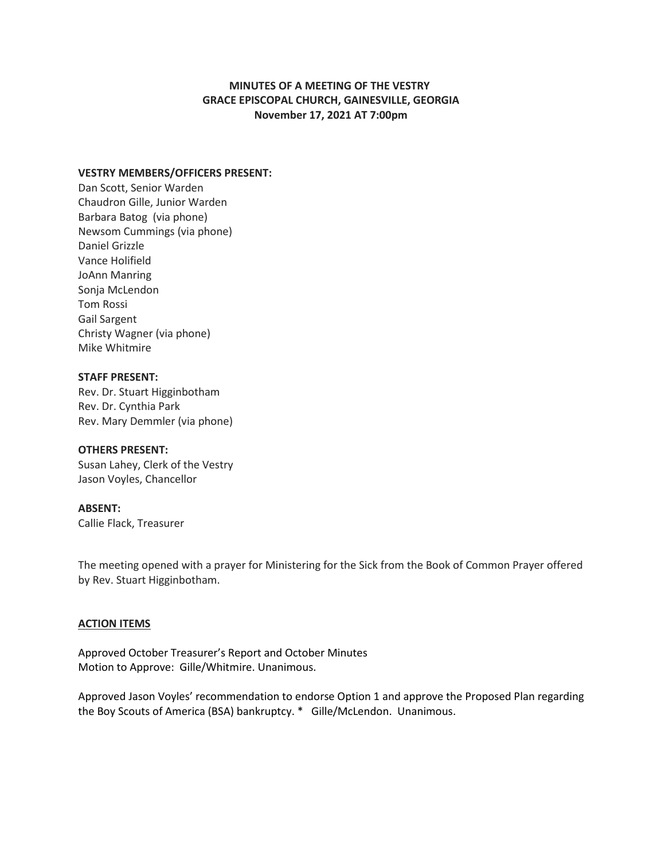# **MINUTES OF A MEETING OF THE VESTRY GRACE EPISCOPAL CHURCH, GAINESVILLE, GEORGIA November 17, 2021 AT 7:00pm**

## **VESTRY MEMBERS/OFFICERS PRESENT:**

Dan Scott, Senior Warden Chaudron Gille, Junior Warden Barbara Batog (via phone) Newsom Cummings (via phone) Daniel Grizzle Vance Holifield JoAnn Manring Sonja McLendon Tom Rossi Gail Sargent Christy Wagner (via phone) Mike Whitmire

## **STAFF PRESENT:**

Rev. Dr. Stuart Higginbotham Rev. Dr. Cynthia Park Rev. Mary Demmler (via phone)

#### **OTHERS PRESENT:**

Susan Lahey, Clerk of the Vestry Jason Voyles, Chancellor

## **ABSENT:**

Callie Flack, Treasurer

The meeting opened with a prayer for Ministering for the Sick from the Book of Common Prayer offered by Rev. Stuart Higginbotham.

#### **ACTION ITEMS**

Approved October Treasurer's Report and October Minutes Motion to Approve: Gille/Whitmire. Unanimous.

Approved Jason Voyles' recommendation to endorse Option 1 and approve the Proposed Plan regarding the Boy Scouts of America (BSA) bankruptcy. \* Gille/McLendon. Unanimous.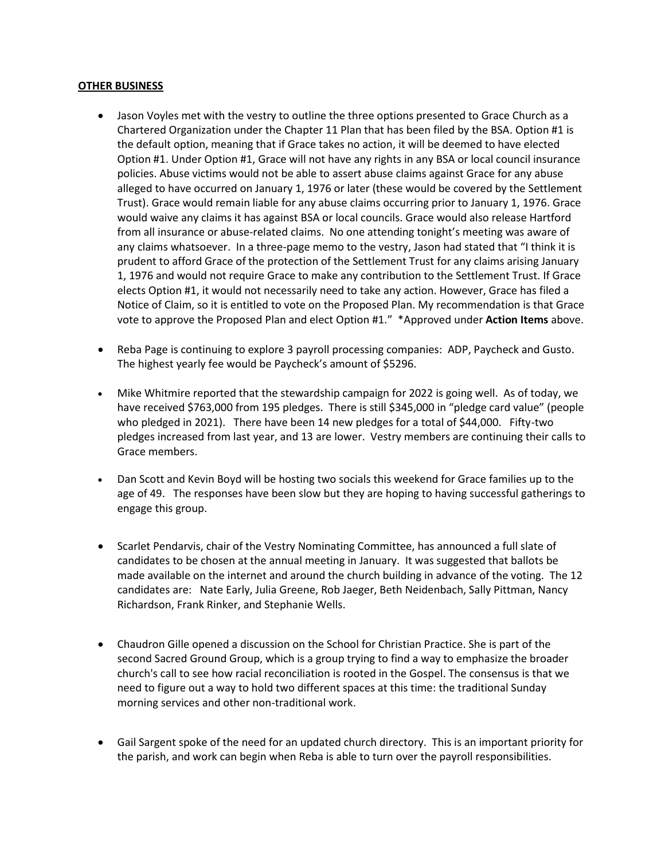### **OTHER BUSINESS**

- Jason Voyles met with the vestry to outline the three options presented to Grace Church as a Chartered Organization under the Chapter 11 Plan that has been filed by the BSA. Option #1 is the default option, meaning that if Grace takes no action, it will be deemed to have elected Option #1. Under Option #1, Grace will not have any rights in any BSA or local council insurance policies. Abuse victims would not be able to assert abuse claims against Grace for any abuse alleged to have occurred on January 1, 1976 or later (these would be covered by the Settlement Trust). Grace would remain liable for any abuse claims occurring prior to January 1, 1976. Grace would waive any claims it has against BSA or local councils. Grace would also release Hartford from all insurance or abuse-related claims. No one attending tonight's meeting was aware of any claims whatsoever. In a three-page memo to the vestry, Jason had stated that "I think it is prudent to afford Grace of the protection of the Settlement Trust for any claims arising January 1, 1976 and would not require Grace to make any contribution to the Settlement Trust. If Grace elects Option #1, it would not necessarily need to take any action. However, Grace has filed a Notice of Claim, so it is entitled to vote on the Proposed Plan. My recommendation is that Grace vote to approve the Proposed Plan and elect Option #1." \*Approved under **Action Items** above.
- Reba Page is continuing to explore 3 payroll processing companies: ADP, Paycheck and Gusto. The highest yearly fee would be Paycheck's amount of \$5296.
- Mike Whitmire reported that the stewardship campaign for 2022 is going well. As of today, we have received \$763,000 from 195 pledges. There is still \$345,000 in "pledge card value" (people who pledged in 2021). There have been 14 new pledges for a total of \$44,000. Fifty-two pledges increased from last year, and 13 are lower. Vestry members are continuing their calls to Grace members.
- Dan Scott and Kevin Boyd will be hosting two socials this weekend for Grace families up to the age of 49. The responses have been slow but they are hoping to having successful gatherings to engage this group.
- Scarlet Pendarvis, chair of the Vestry Nominating Committee, has announced a full slate of candidates to be chosen at the annual meeting in January. It was suggested that ballots be made available on the internet and around the church building in advance of the voting. The 12 candidates are: Nate Early, Julia Greene, Rob Jaeger, Beth Neidenbach, Sally Pittman, Nancy Richardson, Frank Rinker, and Stephanie Wells.
- Chaudron Gille opened a discussion on the School for Christian Practice. She is part of the second Sacred Ground Group, which is a group trying to find a way to emphasize the broader church's call to see how racial reconciliation is rooted in the Gospel. The consensus is that we need to figure out a way to hold two different spaces at this time: the traditional Sunday morning services and other non-traditional work.
- Gail Sargent spoke of the need for an updated church directory. This is an important priority for the parish, and work can begin when Reba is able to turn over the payroll responsibilities.